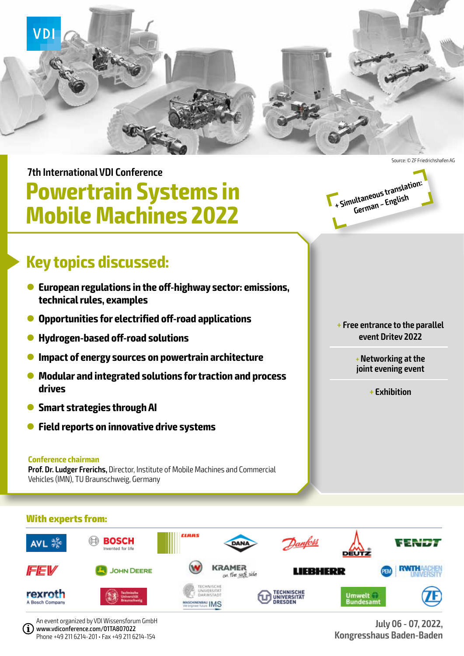

**7th International VDI Conference**

# **Powertrain Systems in Mobile Machines 2022**



- l **European regulations in the off-highway sector: emissions, technical rules, examples**
- l **Opportunities for electrified off-road applications**
- l **Hydrogen-based off-road solutions**
- **Impact of energy sources on powertrain architecture**
- **Modular and integrated solutions for traction and process drives**
- **Smart strategies through AI**
- l **Field reports on innovative drive systems**

### **Conference chairman**

**Prof. Dr. Ludger Frerichs,** Director, Institute of Mobile Machines and Commercial Vehicles (IMN), TU Braunschweig, Germany

**+ Simultaneous translation: German – English** 

> **+ Free entrance to the parallel event Dritev 2022**

> > **+Networking at the joint evening event**

> > > **+ Exhibition**

### **With experts from:**



An event organized by VDI Wissensforum GmbH www.vdiconference.com/01TA807022 Phone +49 211 6214-201 • Fax +49 211 6214-154

**July 06 - 07, 2022, Kongresshaus Baden-Baden**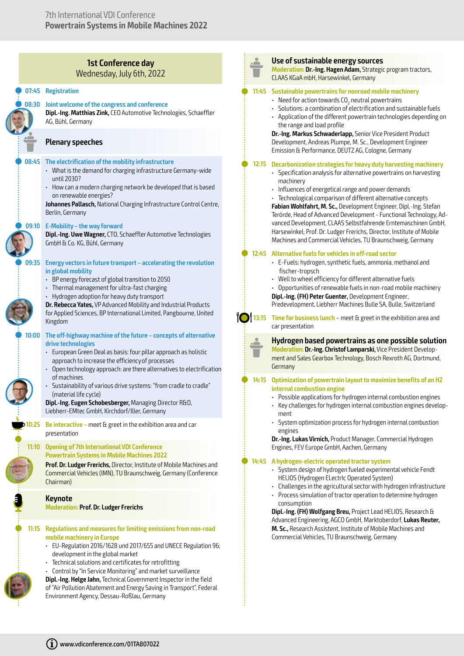### **1st Conference day** Wednesday, July 6th, 2022

### Q **07:45 Registration**

### Q **08:30 Joint welcome of the congress and conference**

**Dipl.-Ing. Matthias Zink,** CEO Automotive Technologies, Schaeffler AG, Bühl, Germany

### **Plenary speeches**

### Q **08:45 The electrification of the mobility infrastructure**

- What is the demand for charging infrastructure Germany-wide until 2030?
- How can a modern charging network be developed that is based on renewable energies?

**Johannes Pallasch,** National Charging Infrastructure Control Centre, Berlin, Germany

### Q **09:10 E-Mobility – the way forward**

**Dipl.-Ing. Uwe Wagner,** CTO, Schaeffler Automotive Technologies GmbH & Co. KG, Bühl, Germany

### Q **09:35 Energy vectors in future transport – accelerating the revolution in global mobility**

- BP energy forecast of global transition to 2050
- Thermal management for ultra-fast charging
- Hydrogen adoption for heavy duty transport

**Dr. Rebecca Yates,** VP Advanced Mobility and Industrial Products for Applied Sciences, BP International Limited, Pangbourne, United Kingdom

### Q **10:00 The off-highway machine of the future – concepts of alternative drive technologies**

- European Green Deal as basis: four pillar approach as holistic approach to increase the efficiency of processes
- Open technology approach: are there alternatives to electrification of machines
- Sustainability of various drive systems: "from cradle to cradle" (material life cycle)

**Dipl.-Ing. Eugen Schobesberger,** Managing Director R&D, Liebherr-EMtec GmbH, Kirchdorf/Iller, Germany

**10:25 Be interactive –** meet & greet in the exhibition area and car presentation

### **11:10 Opening of 7th International VDI Conference Powertrain Systems in Mobile Machines 2022**

**Prof. Dr. Ludger Frerichs,** Director, Institute of Mobile Machines and Commercial Vehicles (IMN), TU Braunschweig, Germany (Conference Chairman)

### **Keynote**

Q

**Moderation: Prof. Dr. Ludger Frerichs**

### Q **11:15 Regulations and measures for limiting emissions from non-road mobile machinery in Europe**

- EU-Regulation 2016/1628 und 2017/655 and UNECE Regulation 96; development in the global market
- Technical solutions and certificates for retrofitting
- Control by "In Service Monitoring" and market surveillance

**Dipl.-Ing. Helge Jahn,** Technical Government Inspector in the field of "Air Pollution Abatement and Energy Saving in Transport", Federal Environment Agency, Dessau-Roßlau, Germany

### **Use of sustainable energy sources**

**Moderation: Dr.-Ing. Hagen Adam,** Strategic program tractors, CLAAS KGaA mbH, Harsewinkel, Germany

### Q **11:45 Sustainable powertrains for nonroad mobile machinery**

- $\,$  Need for action towards CO $_{_2}$  neutral powertrains
- Solutions: a combination of electrification and sustainable fuels
- Application of the different powertrain technologies depending on the range and load profile

**Dr.-Ing. Markus Schwaderlapp,** Senior Vice President Product Development, Andreas Plumpe, M. Sc., Development Engineer Emission & Performance, DEUTZ AG, Cologne, Germany

### Q **12:15 Decarbonization strategies for heavy duty harvesting machinery**

- Specification analysis for alternative powertrains on harvesting machinery
- Influences of energetical range and power demands
- Technological comparison of different alternative concepts **Fabian Wohlfahrt, M. Sc.,** Development Engineer, Dipl.-Ing. Stefan Terörde, Head of Advanced Development - Functional Technology, Advanced Development, CLAAS Selbstfahrende Erntemaschinen GmbH, Harsewinkel; Prof. Dr. Ludger Frerichs, Director, Institute of Mobile Machines and Commercial Vehicles, TU Braunschweig, Germany

#### Q **12:45 Alternative fuels for vehicles in off-road sector**

- E-Fuels: hydrogen, synthetic fuels, ammonia, methanol and fischer-tropsch
- Well to wheel efficiency for different alternative fuels
- Opportunities of renewable fuels in non-road mobile machinery

**Dipl.-Ing. (FH) Peter Guenter,** Development Engineer, Predevelopment, Liebherr Machines Bulle SA, Bulle, Switzerland



**13:15 Time for business lunch** – meet & greet in the exhibition area and

**Hydrogen based powertrains as one possible solution Moderation: Dr.-Ing. Christof Lamparski,** Vice President Development and Sales Gearbox Technology, Bosch Rexroth AG, Dortmund, Germany

### Q **14:15 Optimization of powertrain layout to maximize benefits of an H2 internal combustion engine**

- Possible applications for hydrogen internal combustion engines • Key challenges for hydrogen internal combustion engines develop-
- ment
- System optimization process for hydrogen internal combustion engines

**Dr.-Ing. Lukas Virnich,** Product Manager, Commercial Hydrogen Engines, FEV Europe GmbH, Aachen, Germany

#### Q **14:45 A hydrogen-electric operated tractor system**

- System design of hydrogen fueled experimental vehicle Fendt HELIOS (Hydrogen ELectrIc Operated System)
- Challenges in the agricultural sector with hydrogen infrastructure
- Process simulation of tractor operation to determine hydrogen consumption

**Dipl.-Ing. (FH) Wolfgang Breu,** Project Lead HELIOS, Research & Advanced Engineering, AGCO GmbH, Marktoberdorf, **Lukas Reuter, M. Sc.,** Research Assistent, Institute of Mobile Machines and Commercial Vehicles, TU Braunschweig, Germany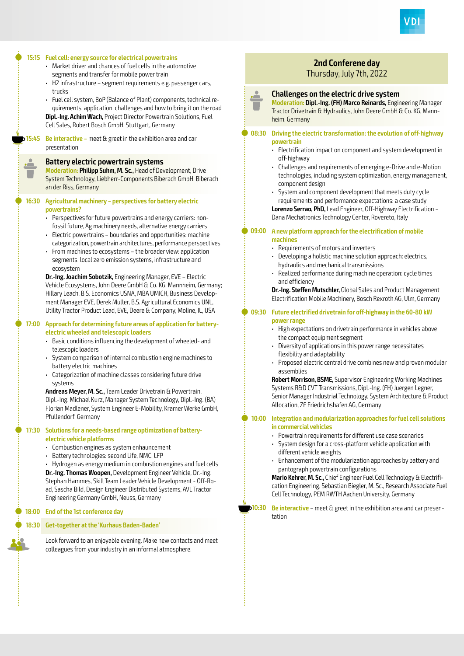

### Q **15:15 Fuel cell: energy source for electrical powertrains** • Market driver and chances of fuel cells in the automotive segments and transfer for mobile power train • H2 infrastructure – segment requirements e.g. passenger cars, trucks • Fuel cell system, BoP (Balance of Plant) components, technical requirements, application, challenges and how to bring it on the road **Dipl.-Ing. Achim Wach,** Project Director Powertrain Solutions, Fuel Cell Sales, Robert Bosch GmbH, Stuttgart, Germany **15:45 Be interactive –** meet & greet in the exhibition area and car presentation **Battery electric powertrain systems Moderation: Philipp Suhm, M. Sc.,** Head of Development, Drive System Technology, Liebherr-Components Biberach GmbH, Biberach an der Riss, Germany Q **16:30 Agricultural machinery – perspectives for battery electric powertrains?** • Perspectives for future powertrains and energy carriers: nonfossil future, Ag machinery needs, alternative energy carriers • Electric powertrains – boundaries and opportunities: machine categorization, powertrain architectures, performance perspectives • From machines to ecosystems – the broader view: application segments, local zero emission systems, infrastructure and ecosystem **Dr.-Ing. Joachim Sobotzik,** Engineering Manager, EVE – Electric Vehicle Ecosystems, John Deere GmbH & Co. KG, Mannheim, Germany; Hillary Leach, B.S. Economics USNA, MBA UMICH, Business Development Manager EVE, Derek Muller, B.S. Agricultural Economics UNL, Utility Tractor Product Lead, EVE, Deere & Company, Moline, IL, USA Q **17:00 Approach for determining future areas of application for batteryelectric wheeled and telescopic loaders** • Basic conditions influencing the development of wheeled- and telescopic loaders • System comparison of internal combustion engine machines to battery electric machines • Categorization of machine classes considering future drive systems **Andreas Meyer, M. Sc.,** Team Leader Drivetrain & Powertrain, Dipl.-Ing. Michael Kurz, Manager System Technology, Dipl.-Ing. (BA) Florian Madlener, System Engineer E-Mobility, Kramer Werke GmbH, Pfullendorf, Germany Q **17:30 Solutions for a needs-based range optimization of batteryelectric vehicle platforms** • Combustion engines as system enhauncement • Battery technologies: second Life, NMC, LFP • Hydrogen as energy medium in combustion engines and fuel cells **Dr.-Ing. Thomas Woopen,** Development Engineer Vehicle, Dr.-Ing. Stephan Hammes, Skill Team Leader Vehicle Development - Off-Road, Sascha Bild, Design Engineer Distributed Systems, AVL Tractor Engineering Germany GmbH, Neuss, Germany Q **18:00 End of the 1st conference day** Q **18:30 Get-together at the 'Kurhaus Baden-Baden'** Look forward to an enjoyable evening. Make new contacts and meet colleagues from your industry in an informal atmosphere. heim, Germany **powertrain machines power range** assemblies tation

## **2nd Conferene day**

## Thursday, July 7th, 2022



**Moderation: Dipl.-Ing. (FH) Marco Reinards,** Engineering Manager Tractor Drivetrain & Hydraulics, John Deere GmbH & Co. KG, Mann-

## Q **08:30 Driving the electric transformation: the evolution of off-highway**

- Electrification impact on component and system development in off-highway
- Challenges and requirements of emerging e-Drive and e-Motion technologies, including system optimization, energy management, component design
- System and component development that meets duty cycle requirements and performance expectations: a case study **Lorenzo Serrao, PhD,** Lead Engineer, Off-Highway Electrification – Dana Mechatronics Technology Center, Rovereto, Italy

## Q **09:00 A new platform approach for the electrification of mobile**

- Requirements of motors and inverters
- Developing a holistic machine solution approach: electrics, hydraulics and mechanical transmissions
- Realized performance during machine operation: cycle times and efficiency

**Dr.-Ing. Steffen Mutschler,** Global Sales and Product Management Electrification Mobile Machinery, Bosch Rexroth AG, Ulm, Germany

## Q **09:30 Future electrified drivetrain for off-highway in the 60-80 kW**

- High expectations on drivetrain performance in vehicles above the compact equipment segment
- Diversity of applications in this power range necessitates flexibility and adaptability
- Proposed electric central drive combines new and proven modular

**Robert Morrison, BSME,** Supervisor Engineering Working Machines Systems R&D CVT Transmissions, Dipl.-Ing. (FH) Juergen Legner, Senior Manager Industrial Technology, System Architecture & Product Allocation, ZF Friedrichshafen AG, Germany

### Q **10:00 Integration and modularization approaches for fuel cell solutions in commercial vehicles**

- Powertrain requirements for different use case scenarios
- System design for a cross-platform vehicle application with different vehicle weights
- Enhancement of the modularization approaches by battery and pantograph powertrain configurations

**Mario Kehrer, M. Sc.,** Chief Engineer Fuel Cell Technology & Electrification Engineering, Sebastian Biegler, M. Sc., Research Associate Fuel Cell Technology, PEM RWTH Aachen University, Germany

**10:30 Be interactive** – meet & greet in the exhibition area and car presen-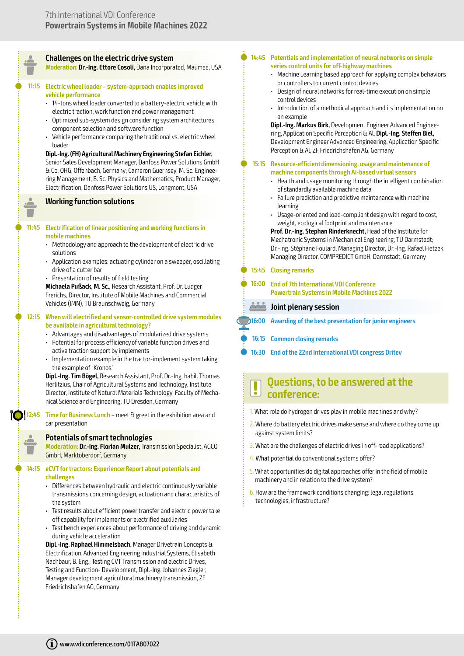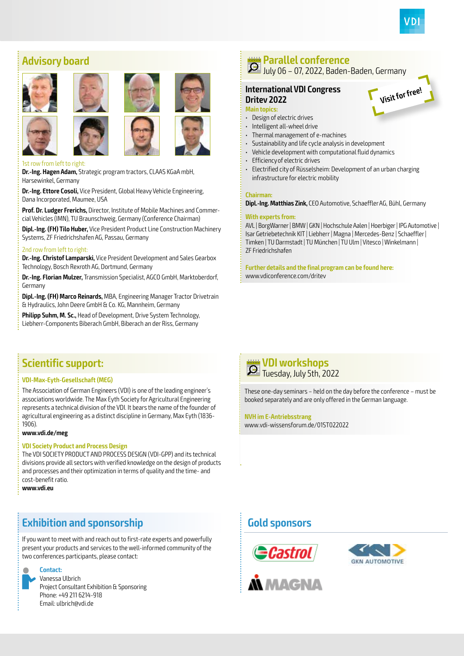

**Visit for free!**

## **Advisory board**



### 1st row from left to right:

**Dr.-Ing. Hagen Adam,** Strategic program tractors, CLAAS KGaA mbH, Harsewinkel, Germany

**Dr.-Ing. Ettore Cosoli,** Vice President, Global Heavy Vehicle Engineering, Dana Incorporated, Maumee, USA

**Prof. Dr. Ludger Frerichs,** Director, Institute of Mobile Machines and Commercial Vehicles (IMN), TU Braunschweig, Germany (Conference Chairman)

**Dipl.-Ing. (FH) Tilo Huber,** Vice President Product Line Construction Machinery Systems, ZF Friedrichshafen AG, Passau, Germany

### 2nd row from left to right:

**Dr.-Ing. Christof Lamparski,** Vice President Development and Sales Gearbox Technology, Bosch Rexroth AG, Dortmund, Germany

**Dr.-Ing. Florian Mulzer,** Transmission Specialist, AGCO GmbH, Marktoberdorf, Germany

**Dipl.-Ing. (FH) Marco Reinards,** MBA, Engineering Manager Tractor Drivetrain & Hydraulics, John Deere GmbH & Co. KG, Mannheim, Germany

**Philipp Suhm, M. Sc.,** Head of Development, Drive System Technology, Liebherr-Components Biberach GmbH, Biberach an der Riss, Germany

### **Parallel conference** July 06 – 07, 2022, Baden-Baden, Germany

### **International VDI Congress Dritev 2022**

### **Main topics:**

- Design of electric drives
- Intelligent all-wheel drive
- Thermal management of e-machines
- Sustainability and life cycle analysis in development
- Vehicle development with computational fluid dynamics
- Efficiency of electric drives
- Electrified city of Rüsselsheim: Development of an urban charging infrastructure for electric mobility

### **Chairman:**

**Dipl.-Ing. Matthias Zink,** CEO Automotive, Schaeffler AG, Bühl, Germany

### **With experts from:**

AVL | BorgWarner | BMW | GKN | Hochschule Aalen | Hoerbiger | IPG Automotive | Isar Getriebetechnik KIT | Liebherr | Magna | Mercedes-Benz | Schaeffler | Timken | TU Darmstadt | TU München | TU Ulm | Vitesco | Winkelmann | ZF Friedrichshafen

**Further details and the final program can be found here:**  www.vdiconference.com/dritev

## **Scientific support:**

### **VDI-Max-Eyth-Gesellschaft (MEG)**

The Association of German Engineers (VDI) is one of the leading engineer's associations worldwide. The Max Eyth Society for Agricultural Engineering represents a technical division of the VDI. It bears the name of the founder of agricultural engineering as a distinct discipline in Germany, Max Eyth (1836- 1906).

### **www.vdi.de/meg**

### **VDI Society Product and Process Design**

The VDI SOCIETY PRODUCT AND PROCESS DESIGN (VDI-GPP) and its technical divisions provide all sectors with verified knowledge on the design of products and processes and their optimization in terms of quality and the time- and cost-benefit ratio.

**www.vdi.eu**

## **Exhibition and sponsorship**

If you want to meet with and reach out to first-rate experts and powerfully present your products and services to the well-informed community of the two conferences participants, please contact:



Vanessa Ulbrich Project Consultant Exhibition & Sponsoring Phone: +49 211 6214-918 Email: ulbrich@vdi.de



These one-day seminars – held on the day before the conference – must be booked separately and are only offered in the German language.

### **NVH im E-Antriebsstrang**

www.vdi-wissensforum.de/01ST022022

## **Gold sponsors**